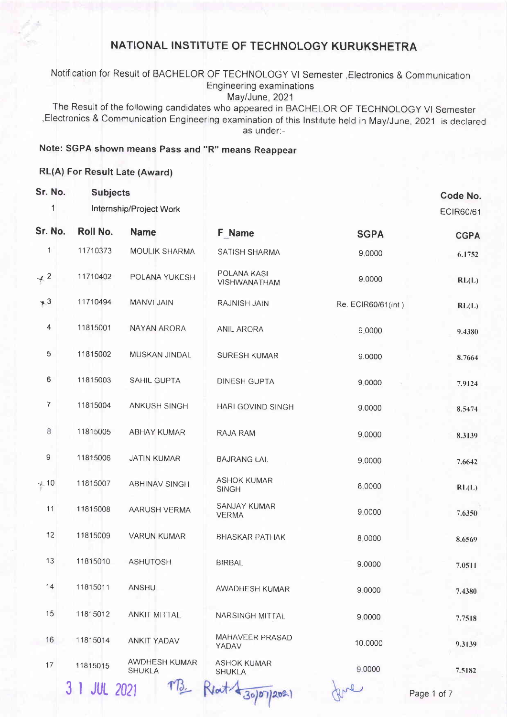Notification for Result of BACHELOR OF TECHNOLOGY VI Semester , Electronics & Communication **Engineering examinations** 

May/June, 2021

The Result of the following candidates who appeared in BACHELOR OF TECHNOLOGY VI Semester , Electronics & Communication Engineering examination of this Institute held in May/June, 2021 is declared as under:-

#### Note: SGPA shown means Pass and "R" means Reappear

#### RL(A) For Result Late (Award)

 $0 - M$ 

| JI. IVU.<br>1           | <b>Subjects</b>       | Internship/Project Work        |                                     |                    | Code No.<br><b>ECIR60/61</b> |
|-------------------------|-----------------------|--------------------------------|-------------------------------------|--------------------|------------------------------|
| Sr. No.                 | Roll No.              | <b>Name</b>                    |                                     |                    |                              |
| 1                       | 11710373              |                                | <b>F</b> Name                       | <b>SGPA</b>        | <b>CGPA</b>                  |
|                         |                       | MOULIK SHARMA                  | SATISH SHARMA                       | 9.0000             | 6.1752                       |
| $+2$                    | 11710402              | POLANA YUKESH                  | POLANA KASI<br>VISHWANATHAM         | 9.0000             | RL(L)                        |
| $*3$                    | 11710494              | MANVI JAIN                     | RAJNISH JAIN                        | Re. ECIR60/61(Int) | RL(L)                        |
| $\overline{\mathbf{r}}$ | 11815001              | NAYAN ARORA                    | ANIL ARORA                          | 9.0000             | 9.4380                       |
| 5                       | 11815002              | MUSKAN JINDAL                  | <b>SURESH KUMAR</b>                 | 9.0000             | 8.7664                       |
| 6                       | 11815003              | SAHIL GUPTA                    | DINESH GUPTA                        | 9.0000             | 7.9124                       |
| 7                       | 11815004              | ANKUSH SINGH                   | HARI GOVIND SINGH                   | 9.0000             | 8.5474                       |
| 8                       | 11815005              | <b>ABHAY KUMAR</b>             | RAJA RAM                            | 9,0000             | 8.3139                       |
| $\mathsf g$             | 11815006              | <b>JATIN KUMAR</b>             | <b>BAJRANG LAL</b>                  | 9,0000             | 7.6642                       |
| $+10$                   | 11815007              | <b>ABHINAV SINGH</b>           | <b>ASHOK KUMAR</b><br><b>SINGH</b>  | 8.0000             | RL(L)                        |
| 11                      | 11815008              | AARUSH VERMA                   | SANJAY KUMAR<br><b>VERMA</b>        | 9.0000             | 7.6350                       |
| 12                      | 11815009              | <b>VARUN KUMAR</b>             | <b>BHASKAR PATHAK</b>               | 8,0000             | 8.6569                       |
| 13                      | 11815010              | <b>ASHUTOSH</b>                | <b>BIRBAL</b>                       | 9.0000             | 7.0511                       |
| 14                      | 11815011              | <b>ANSHU</b>                   | AWADHESH KUMAR                      | 9.0000             | 7.4380                       |
| 15                      | 11815012              | <b>ANKIT MITTAL</b>            | NARSINGH MITTAL                     | 9.0000             | 7.7518                       |
| 16                      | 11815014              | <b>ANKIT YADAV</b>             | MAHAVEER PRASAD<br>YADAV            | 10.0000            | 9.3139                       |
| 17                      | 11815015              | AWDHESH KUMAR<br><b>SHUKLA</b> | <b>ASHOK KUMAR</b><br><b>SHUKLA</b> | 9.0000             | 7.5182                       |
|                         | <b>JUL 2021</b><br>31 |                                |                                     |                    | Page 1 of 7                  |

 $3007202$ 

Page 1 of 7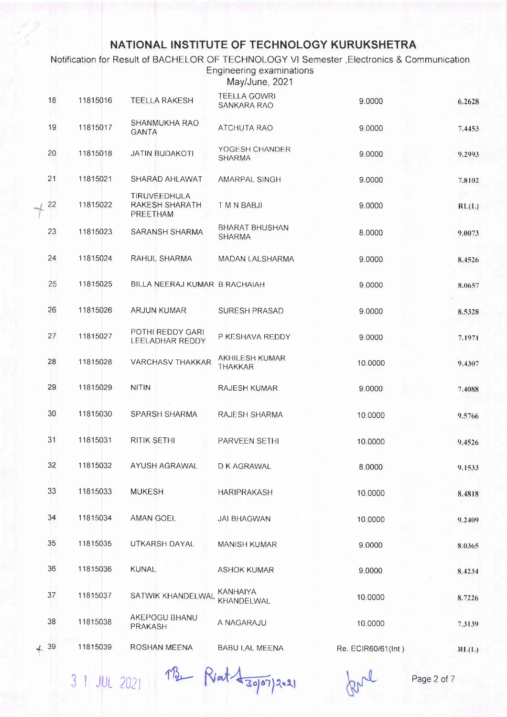Notification for Result of BACHELOR OF TECHNOLOGY VI Semester , Electronics & Communication Engineering examinations May/June, 2021

| 18    | 11815016 | <b>TEELLA RAKESH</b>                       | <b>TEELLA GOWRI</b><br>SANKARA RAO      | 9.0000             | 6.2628 |
|-------|----------|--------------------------------------------|-----------------------------------------|--------------------|--------|
| 19    | 11815017 | SHANMUKHA RAO<br><b>GANTA</b>              | <b>ATCHUTA RAO</b>                      | 9.0000             | 7.4453 |
| 20    | 11815018 | <b>JATIN BUDAKOTI</b>                      | YOGESH CHANDER<br><b>SHARMA</b>         | 9.0000             | 9.2993 |
| 21    | 11815021 | SHARAD AHLAWAT                             | AMARPAL SINGH                           | 9.0000             | 7.8102 |
| 22    | 11815022 | TIRUVEEDHULA<br>RAKESH SHARATH<br>PREETHAM | T M N BABJI                             | 9.0000             | RL(L)  |
| 23    | 11815023 | SARANSH SHARMA                             | <b>BHARAT BHUSHAN</b><br><b>SHARMA</b>  | 8.0000             | 9.0073 |
| 24    | 11815024 | RAHUL SHARMA                               | <b>MADAN LALSHARMA</b>                  | 9.0000             | 8.4526 |
| 25    | 11815025 | BILLA NEERAJ KUMAR B RACHAIAH              |                                         | 9.0000             | 8.0657 |
| 26    | 11815026 | ARJUN KUMAR                                | SURESH PRASAD                           | 9.0000             | 8.5328 |
| 27    | 11815027 | POTHI REDDY GARI<br>LEELADHAR REDDY        | P KESHAVA REDDY                         | 9.0000             | 7.1971 |
| 28    | 11815028 | VARCHASV THAKKAR                           | <b>AKHILESH KUMAR</b><br><b>THAKKAR</b> | 10.0000            | 9.4307 |
| 29    | 11815029 | <b>NITIN</b>                               | RAJESH KUMAR                            | 9.0000             | 7.4088 |
| 30    | 11815030 | <b>SPARSH SHARMA</b>                       | RAJESH SHARMA                           | 10.0000            | 9.5766 |
| 31    | 11815031 | RITIK SETHI                                | PARVEEN SETHI                           | 10.0000            | 9.4526 |
| 32    | 11815032 | AYUSH AGRAWAL                              | D K AGRAWAL                             | 8.0000             | 9.1533 |
| 33    | 11815033 | <b>MUKESH</b>                              | HARIPRAKASH                             | 10.0000            | 8.4818 |
| 34    | 11815034 | AMAN GOEL                                  | <b>JAI BHAGWAN</b>                      | 10.0000            | 9.2409 |
| 35    | 11815035 | UTKARSH DAYAL                              | <b>MANISH KUMAR</b>                     | 9.0000             | 8.0365 |
| 36    | 11815036 | <b>KUNAL</b>                               | <b>ASHOK KUMAR</b>                      | 9.0000             | 8.4234 |
| 37    | 11815037 | SATWIK KHANDELWAL                          | <b>KANHAIYA</b><br>KHANDELWAL           | 10.0000            | 8.7226 |
| 38    | 11815038 | AKEPOGU BHANU<br><b>PRAKASH</b>            | A NAGARAJU                              | 10.0000            | 7.3139 |
| $+39$ | 11815039 | ROSHAN MEENA                               | <b>BABU LAL MEENA</b>                   | Re. ECIR60/61(Int) | RL(L)  |
|       |          |                                            |                                         |                    |        |

 $31$  JUL 2021 TB Reat  $\frac{1}{30007}$   $\frac{1}{30007}$  Page 2 of 7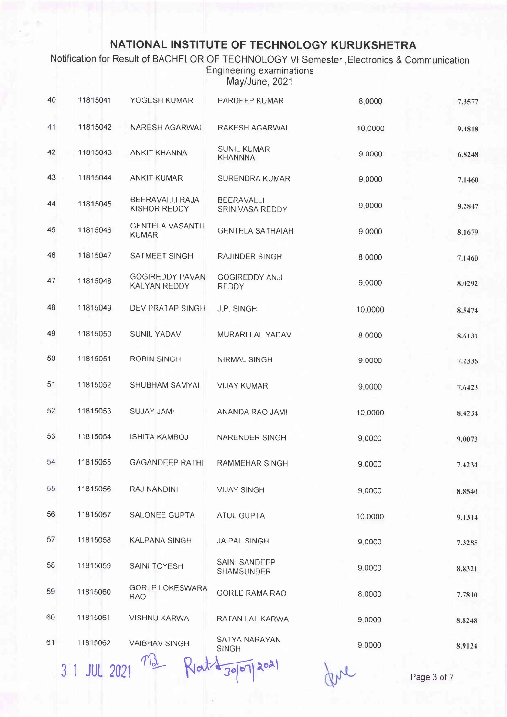Notification for Result of BACHELOR OF TECHNOLOGY VI Semester , Electronics & Communication<br>Engineering examinations<br>May/June, 2021

| 40 | 11815041 | YOGESH KUMAR                                  | <b>PARDEEP KUMAR</b>                  | 8.0000  | 7.3577 |
|----|----------|-----------------------------------------------|---------------------------------------|---------|--------|
| 41 | 11815042 | NARESH AGARWAL                                | RAKESH AGARWAL                        | 10.0000 | 9.4818 |
| 42 | 11815043 | <b>ANKIT KHANNA</b>                           | <b>SUNIL KUMAR</b><br><b>KHANNNA</b>  | 9.0000  | 6.8248 |
| 43 | 11815044 | <b>ANKIT KUMAR</b>                            | SURENDRA KUMAR                        | 9.0000  | 7.1460 |
| 44 | 11815045 | BEERAVALLI RAJA<br>KISHOR REDDY               | <b>BEERAVALLI</b><br>SRINIVASA REDDY  | 9.0000  | 8.2847 |
| 45 | 11815046 | <b>GENTELA VASANTH</b><br><b>KUMAR</b>        | <b>GENTELA SATHAIAH</b>               | 9.0000  | 8.1679 |
| 46 | 11815047 | <b>SATMEET SINGH</b>                          | RAJINDER SINGH                        | 8.0000  | 7.1460 |
| 47 | 11815048 | <b>GOGIREDDY PAVAN</b><br><b>KALYAN REDDY</b> | <b>GOGIREDDY ANJI</b><br><b>REDDY</b> | 9.0000  | 8.0292 |
| 48 | 11815049 | <b>DEV PRATAP SINGH</b>                       | J.P. SINGH                            | 10.0000 | 8.5474 |
| 49 | 11815050 | <b>SUNIL YADAV</b>                            | MURARI LAL YADAV                      | 8.0000  | 8.6131 |
| 50 | 11815051 | <b>ROBIN SINGH</b>                            | NIRMAL SINGH                          | 9.0000  | 7.2336 |
| 51 | 11815052 | SHUBHAM SAMYAL                                | <b>VIJAY KUMAR</b>                    | 9.0000  | 7.6423 |
| 52 | 11815053 | <b>SUJAY JAMI</b>                             | ANANDA RAO JAMI                       | 10.0000 | 8.4234 |
| 53 | 11815054 | <b>ISHITA KAMBOJ</b>                          | NARENDER SINGH                        | 9.0000  | 9.0073 |
| 54 | 11815055 | <b>GAGANDEEP RATHI</b>                        | RAMMEHAR SINGH                        | 9.0000  | 7.4234 |
| 55 | 11815056 | RAJ NANDINI                                   | <b>VIJAY SINGH</b>                    | 9.0000  | 8.8540 |
| 56 | 11815057 | SALONEE GUPTA                                 | <b>ATUL GUPTA</b>                     | 10.0000 | 9.1314 |
| 57 | 11815058 | <b>KALPANA SINGH</b>                          | <b>JAIPAL SINGH</b>                   | 9.0000  | 7.3285 |
| 58 | 11815059 | <b>SAINI TOYESH</b>                           | <b>SAINI SANDEEP</b><br>SHAMSUNDER    | 9.0000  | 8.8321 |
| 59 | 11815060 | <b>GORLE LOKESWARA</b><br><b>RAO</b>          | <b>GORLE RAMA RAO</b>                 | 8.0000  | 7.7810 |
| 60 | 11815061 | <b>VISHNU KARWA</b>                           | RATAN LAL KARWA                       | 9.0000  | 8.8248 |
| 61 | 11815062 | <b>VAIBHAV SINGH</b>                          | SATYA NARAYAN<br><b>SINGH</b>         | 9.0000  | 8.9124 |

3 1 JUL 2021

PM

Page 3 of 7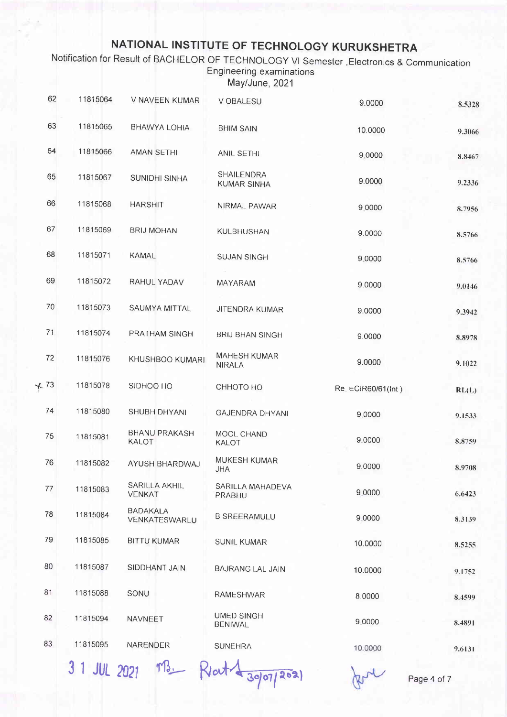Notification for Result of BACHELOR OF TECHNOLOGY VI Semester , Electronics & Communication Engineering examinations May/June, 2021

| 62  | 11815064     | V NAVEEN KUMAR                       | V OBALESU                            | 9.0000             | 8.5328      |
|-----|--------------|--------------------------------------|--------------------------------------|--------------------|-------------|
| 63  | 11815065     | BHAWYA LOHIA                         | <b>BHIM SAIN</b>                     | 10.0000            | 9.3066      |
| 64  | 11815066     | <b>AMAN SETHI</b>                    | <b>ANIL SETHI</b>                    | 9,0000             | 8.8467      |
| 65  | 11815067     | <b>SUNIDHI SINHA</b>                 | SHAILENDRA<br><b>KUMAR SINHA</b>     | 9.0000             | 9.2336      |
| 66  | 11815068     | <b>HARSHIT</b>                       | NIRMAL PAWAR                         | 9.0000             | 8.7956      |
| 67  | 11815069     | <b>BRIJ MOHAN</b>                    | KULBHUSHAN                           | 9.0000             | 8.5766      |
| 68  | 11815071     | <b>KAMAL</b>                         | <b>SUJAN SINGH</b>                   | 9.0000             | 8.5766      |
| 69  | 11815072     | RAHUL YADAV                          | MAYARAM                              | 9.0000             | 9.0146      |
| 70  | 11815073     | <b>SAUMYA MITTAL</b>                 | <b>JITENDRA KUMAR</b>                | 9.0000             | 9.3942      |
| 71  | 11815074     | PRATHAM SINGH                        | <b>BRIJ BHAN SINGH</b>               | 9.0000             | 8.8978      |
| 72  | 11815076     | KHUSHBOO KUMARI                      | <b>MAHESH KUMAR</b><br><b>NIRALA</b> | 9.0000             | 9.1022      |
| 173 | 11815078     | SIDHOO HO                            | СННОТО НО                            | Re. ECIR60/61(Int) | RL(L)       |
| 74  | 11815080     | SHUBH DHYANI                         | <b>GAJENDRA DHYANI</b>               | 9.0000             | 9.1533      |
| 75  | 11815081     | <b>BHANU PRAKASH</b><br><b>KALOT</b> | MOOL CHAND<br><b>KALOT</b>           | 9.0000             | 8.8759      |
| 76  | 11815082     | AYUSH BHARDWAJ                       | <b>MUKESH KUMAR</b><br>JHA           | 9.0000             | 8.9708      |
| 77  | 11815083     | SARILLA AKHIL<br><b>VENKAT</b>       | SARILLA MAHADEVA<br>PRABHU           | 9.0000             | 6.6423      |
| 78  | 11815084     | <b>BADAKALA</b><br>VENKATESWARLU     | <b>B SREERAMULU</b>                  | 9 0000             | 8.3139      |
| 79  | 11815085     | <b>BITTU KUMAR</b>                   | <b>SUNIL KUMAR</b>                   | 10.0000            | 8.5255      |
| 80  | 11815087     | SIDDHANT JAIN                        | <b>BAJRANG LAL JAIN</b>              | 10.0000            | 9.1752      |
| 81  | 11815088     | SONU                                 | RAMESHWAR                            | 8.0000             | 8.4599      |
| 82  | 11815094     | NAVNEET                              | <b>UMED SINGH</b><br><b>BENIWAL</b>  | 9.0000             | 8.4891      |
| 83  | 11815095     | NARENDER                             | <b>SUNEHRA</b>                       | 10.0000            | 9.6131      |
|     | 3 1 JUL 2021 |                                      | 3007/202                             |                    | Page 4 of 7 |

Page 4 of 7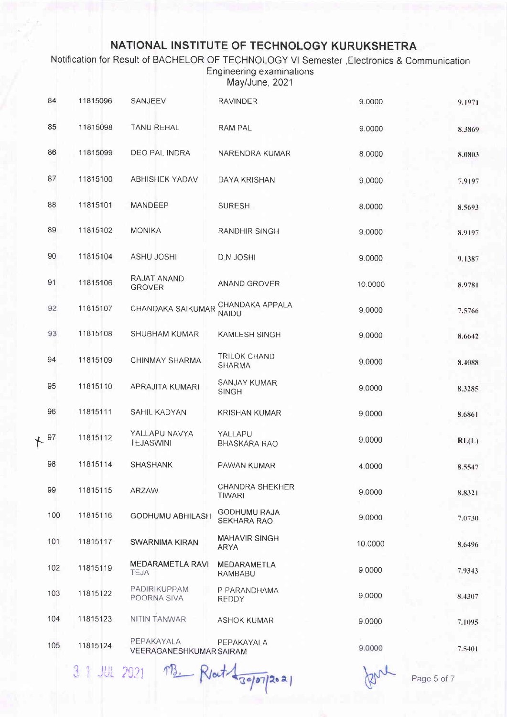Notification for Result of BACHELOR OF TECHNOLOGY VI Semester , Electronics & Communication Engineering examinations May/June, 2021

| 84    | 11815096 | SANJEEV                                | <b>RAVINDER</b>                           | 9.0000  | 9.1971 |
|-------|----------|----------------------------------------|-------------------------------------------|---------|--------|
| 85    | 11815098 | <b>TANU REHAL</b>                      | RAM PAL                                   | 9.0000  | 8.3869 |
| 86    | 11815099 | DEO PAL INDRA                          | NARENDRA KUMAR                            | 8.0000  | 8.0803 |
| 87    | 11815100 | <b>ABHISHEK YADAV</b>                  | DAYA KRISHAN                              | 9.0000  | 7.9197 |
| 88    | 11815101 | MANDEEP                                | <b>SURESH</b>                             | 8.0000  | 8.5693 |
| 89    | 11815102 | <b>MONIKA</b>                          | RANDHIR SINGH                             | 9.0000  | 8.9197 |
| 90    | 11815104 | <b>ASHU JOSHI</b>                      | D.N JOSHI                                 | 9.0000  | 9.1387 |
| 91    | 11815106 | RAJAT ANAND<br><b>GROVER</b>           | ANAND GROVER                              | 10.0000 | 8.9781 |
| 92    | 11815107 | <b>CHANDAKA SAIKUMAR</b>               | CHANDAKA APPALA<br><b>NAIDU</b>           | 9,0000  | 7.5766 |
| 93    | 11815108 | SHUBHAM KUMAR                          | KAMLESH SINGH                             | 9,0000  | 8.6642 |
| 94    | 11815109 | <b>CHINMAY SHARMA</b>                  | <b>TRILOK CHAND</b><br><b>SHARMA</b>      | 9.0000  | 8.4088 |
| 95    | 11815110 | APRAJITA KUMARI                        | <b>SANJAY KUMAR</b><br><b>SINGH</b>       | 9.0000  | 8.3285 |
| 96    | 11815111 | SAHIL KADYAN                           | <b>KRISHAN KUMAR</b>                      | 9.0000  | 8.6861 |
| $+97$ | 11815112 | YALLAPU NAVYA<br><b>TEJASWINI</b>      | YALLAPU<br><b>BHASKARA RAO</b>            | 9.0000  | RL(L)  |
| 98    | 11815114 | <b>SHASHANK</b>                        | PAWAN KUMAR                               | 4.0000  | 8.5547 |
| 99    | 11815115 | ARZAW                                  | <b>CHANDRA SHEKHER</b><br><b>TIWARI</b>   | 9.0000  | 8.8321 |
| 100   | 11815116 | <b>GODHUMU ABHILASH</b>                | <b>GODHUMU RAJA</b><br><b>SEKHARA RAO</b> | 9 0000  | 7.0730 |
| 101   | 11815117 | <b>SWARNIMA KIRAN</b>                  | <b>MAHAVIR SINGH</b><br><b>ARYA</b>       | 10.0000 | 8.6496 |
| 102   | 11815119 | <b>MEDARAMETLA RAVI</b><br><b>TEJA</b> | <b>MEDARAMETLA</b><br>RAMBABU             | 9.0000  | 7.9343 |
| 103   | 11815122 | PADIRIKUPPAM<br>POORNA SIVA            | P PARANDHAMA<br><b>REDDY</b>              | 9.0000  | 8.4307 |
| 104   | 11815123 | NITIN TANWAR                           | <b>ASHOK KUMAR</b>                        | 9.0000  | 7.1095 |
| 105   | 11815124 | PEPAKAYALA<br>VEERAGANESHKUMAR SAIRAM  | PEPAKAYALA                                | 9.0000  | 7.5401 |
|       |          |                                        |                                           |         |        |

3 1 JUL 2021 MB. Rot 1 30/07/2021

Page 5 of 7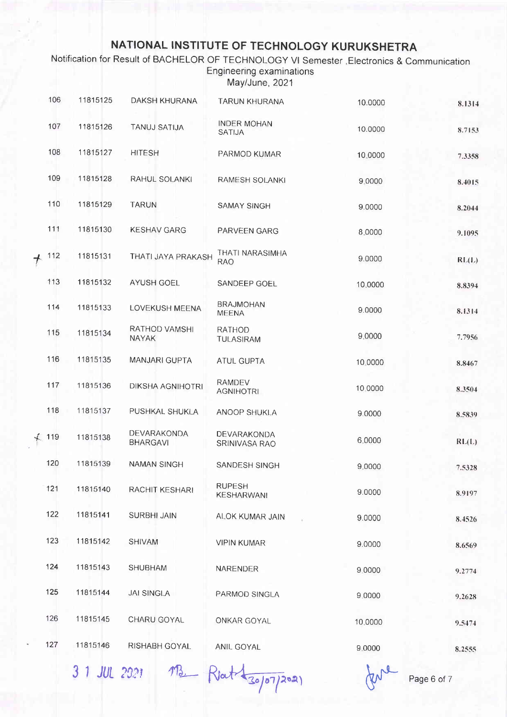Notification for Result of BACHELOR OF TECHNOLOGY VI Semester , Electronics & Communication **Engineering examinations** May/June, 2021

| 106   | 11815125 | DAKSH KHURANA                         | TARUN KHURANA                       | 10.0000 | 8.1314 |
|-------|----------|---------------------------------------|-------------------------------------|---------|--------|
| 107   | 11815126 | <b>TANUJ SATIJA</b>                   | <b>INDER MOHAN</b><br><b>SATIJA</b> | 10.0000 | 8.7153 |
| 108   | 11815127 | <b>HITESH</b>                         | PARMOD KUMAR                        | 10,0000 | 7.3358 |
| 109   | 11815128 | RAHUL SOLANKI                         | <b>RAMESH SOLANKI</b>               | 9.0000  | 8.4015 |
| 110   | 11815129 | <b>TARUN</b>                          | <b>SAMAY SINGH</b>                  | 9.0000  | 8.2044 |
| 111   | 11815130 | <b>KESHAV GARG</b>                    | PARVEEN GARG                        | 8,0000  | 9.1095 |
| 112   | 11815131 | THATI JAYA PRAKASH                    | THATI NARASIMHA<br><b>RAO</b>       | 9.0000  | RL(L)  |
| 113   | 11815132 | <b>AYUSH GOEL</b>                     | SANDEEP GOEL                        | 10,0000 | 8.8394 |
| 114   | 11815133 | LOVEKUSH MEENA                        | <b>BRAJMOHAN</b><br><b>MEENA</b>    | 9.0000  | 8.1314 |
| 115   | 11815134 | RATHOD VAMSHI<br><b>NAYAK</b>         | <b>RATHOD</b><br>TULASIRAM          | 9.0000  | 7.7956 |
| 116   | 11815135 | <b>MANJARI GUPTA</b>                  | ATUL GUPTA                          | 10,0000 | 8.8467 |
| 117   | 11815136 | DIKSHA AGNIHOTRI                      | <b>RAMDEV</b><br><b>AGNIHOTRI</b>   | 10.0000 | 8.3504 |
| 118   | 11815137 | PUSHKAL SHUKLA                        | ANOOP SHUKLA                        | 9.0000  | 8.5839 |
| ₹ 119 | 11815138 | <b>DEVARAKONDA</b><br><b>BHARGAVI</b> | DEVARAKONDA<br>SRINIVASA RAO        | 6,0000  | RL(L)  |
| 120   | 11815139 | <b>NAMAN SINGH</b>                    | SANDESH SINGH                       | 9,0000  | 7.5328 |
| 121   | 11815140 | RACHIT KESHARI                        | <b>RUPESH</b><br><b>KESHARWANI</b>  | 9.0000  | 8.9197 |
| 122   | 11815141 | <b>SURBHI JAIN</b>                    | ALOK KUMAR JAIN                     | 9.0000  | 8.4526 |
| 123   | 11815142 | <b>SHIVAM</b>                         | <b>VIPIN KUMAR</b>                  | 9.0000  | 8.6569 |
| 124   | 11815143 | <b>SHUBHAM</b>                        | NARENDER                            | 9.0000  | 9.2774 |
| 125   | 11815144 | <b>JAI SINGLA</b>                     | PARMOD SINGLA                       | 9,0000  | 9.2628 |
| 126   | 11815145 | CHARU GOYAL                           | ONKAR GOYAL                         | 10.0000 | 9.5474 |
| 127   | 11815146 | RISHABH GOYAL                         | ANIL GOYAL                          | 9.0000  | 8.2555 |
|       |          |                                       |                                     |         |        |

31 JUL 2021 MB Rot 30/07/2021

Page 6 of 7